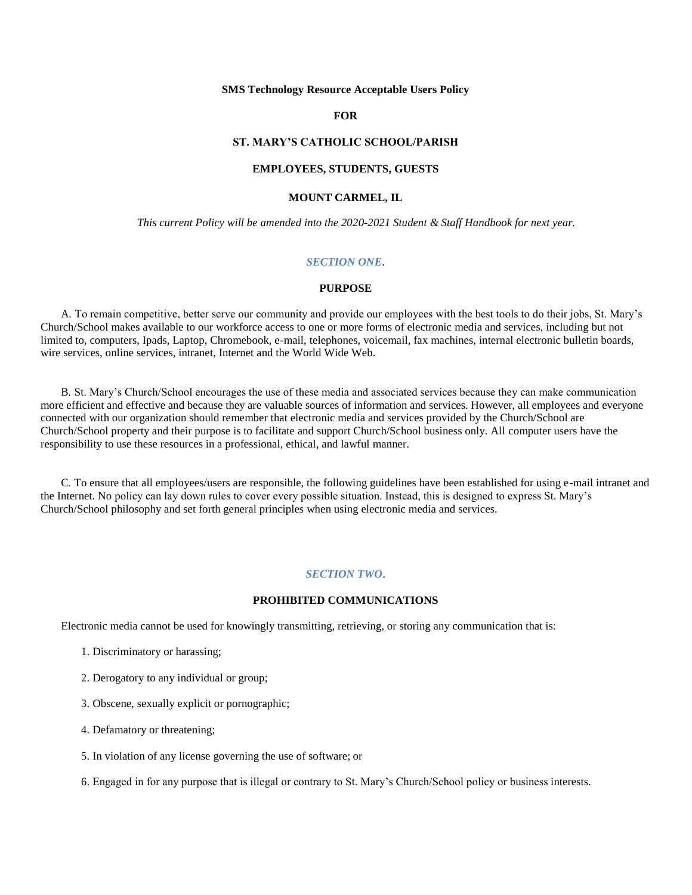#### **SMS Technology Resource Acceptable Users Policy**

## **FOR**

# **ST. MARY'S CATHOLIC SCHOOL/PARISH**

### **EMPLOYEES, STUDENTS, GUESTS**

# **MOUNT CARMEL, IL**

*This current Policy will be amended into the 2020-2021 Student & Staff Handbook for next year.*

## *SECTION ONE*.

#### **PURPOSE**

A. To remain competitive, better serve our community and provide our employees with the best tools to do their jobs, St. Mary's Church/School makes available to our workforce access to one or more forms of electronic media and services, including but not limited to, computers, Ipads, Laptop, Chromebook, e-mail, telephones, voicemail, fax machines, internal electronic bulletin boards, wire services, online services, intranet, Internet and the World Wide Web.

B. St. Mary's Church/School encourages the use of these media and associated services because they can make communication more efficient and effective and because they are valuable sources of information and services. However, all employees and everyone connected with our organization should remember that electronic media and services provided by the Church/School are Church/School property and their purpose is to facilitate and support Church/School business only. All computer users have the responsibility to use these resources in a professional, ethical, and lawful manner.

C. To ensure that all employees/users are responsible, the following guidelines have been established for using e-mail intranet and the Internet. No policy can lay down rules to cover every possible situation. Instead, this is designed to express St. Mary's Church/School philosophy and set forth general principles when using electronic media and services.

### *SECTION TWO*.

# **PROHIBITED COMMUNICATIONS**

Electronic media cannot be used for knowingly transmitting, retrieving, or storing any communication that is:

- 1. Discriminatory or harassing;
- 2. Derogatory to any individual or group;
- 3. Obscene, sexually explicit or pornographic;
- 4. Defamatory or threatening;
- 5. In violation of any license governing the use of software; or

6. Engaged in for any purpose that is illegal or contrary to St. Mary's Church/School policy or business interests.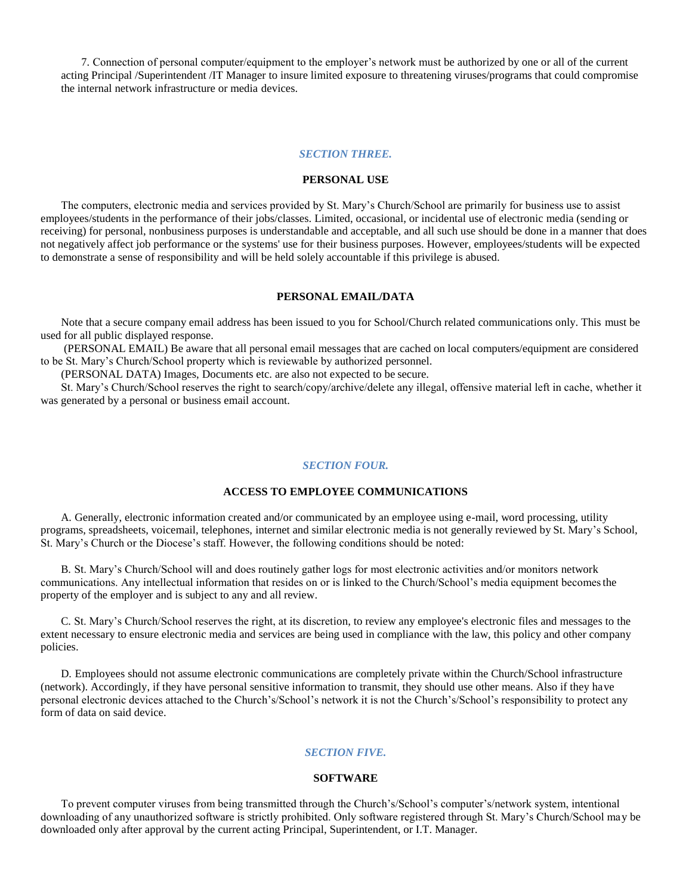7. Connection of personal computer/equipment to the employer's network must be authorized by one or all of the current acting Principal /Superintendent /IT Manager to insure limited exposure to threatening viruses/programs that could compromise the internal network infrastructure or media devices.

# *SECTION THREE.*

# **PERSONAL USE**

The computers, electronic media and services provided by St. Mary's Church/School are primarily for business use to assist employees/students in the performance of their jobs/classes. Limited, occasional, or incidental use of electronic media (sending or receiving) for personal, nonbusiness purposes is understandable and acceptable, and all such use should be done in a manner that does not negatively affect job performance or the systems' use for their business purposes. However, employees/students will be expected to demonstrate a sense of responsibility and will be held solely accountable if this privilege is abused.

# **PERSONAL EMAIL/DATA**

Note that a secure company email address has been issued to you for School/Church related communications only. This must be used for all public displayed response.

(PERSONAL EMAIL) Be aware that all personal email messages that are cached on local computers/equipment are considered to be St. Mary's Church/School property which is reviewable by authorized personnel.

(PERSONAL DATA) Images, Documents etc. are also not expected to be secure.

St. Mary's Church/School reserves the right to search/copy/archive/delete any illegal, offensive material left in cache, whether it was generated by a personal or business email account.

#### *SECTION FOUR.*

### **ACCESS TO EMPLOYEE COMMUNICATIONS**

A. Generally, electronic information created and/or communicated by an employee using e-mail, word processing, utility programs, spreadsheets, voicemail, telephones, internet and similar electronic media is not generally reviewed by St. Mary's School, St. Mary's Church or the Diocese's staff. However, the following conditions should be noted:

B. St. Mary's Church/School will and does routinely gather logs for most electronic activities and/or monitors network communications. Any intellectual information that resides on or is linked to the Church/School's media equipment becomesthe property of the employer and is subject to any and all review.

C. St. Mary's Church/School reserves the right, at its discretion, to review any employee's electronic files and messages to the extent necessary to ensure electronic media and services are being used in compliance with the law, this policy and other company policies.

D. Employees should not assume electronic communications are completely private within the Church/School infrastructure (network). Accordingly, if they have personal sensitive information to transmit, they should use other means. Also if they have personal electronic devices attached to the Church's/School's network it is not the Church's/School's responsibility to protect any form of data on said device.

# *SECTION FIVE.*

#### **SOFTWARE**

To prevent computer viruses from being transmitted through the Church's/School's computer's/network system, intentional downloading of any unauthorized software is strictly prohibited. Only software registered through St. Mary's Church/School may be downloaded only after approval by the current acting Principal, Superintendent, or I.T. Manager.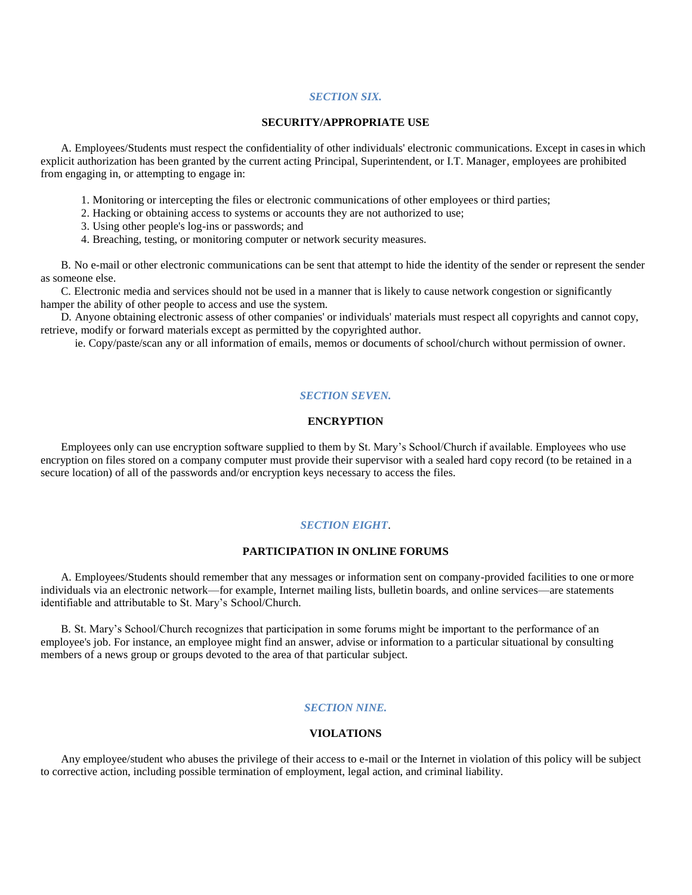### *SECTION SIX.*

#### **SECURITY/APPROPRIATE USE**

A. Employees/Students must respect the confidentiality of other individuals' electronic communications. Except in casesin which explicit authorization has been granted by the current acting Principal, Superintendent, or I.T. Manager, employees are prohibited from engaging in, or attempting to engage in:

- 1. Monitoring or intercepting the files or electronic communications of other employees or third parties;
- 2. Hacking or obtaining access to systems or accounts they are not authorized to use;
- 3. Using other people's log-ins or passwords; and
- 4. Breaching, testing, or monitoring computer or network security measures.

B. No e-mail or other electronic communications can be sent that attempt to hide the identity of the sender or represent the sender as someone else.

C. Electronic media and services should not be used in a manner that is likely to cause network congestion or significantly hamper the ability of other people to access and use the system.

D. Anyone obtaining electronic assess of other companies' or individuals' materials must respect all copyrights and cannot copy, retrieve, modify or forward materials except as permitted by the copyrighted author.

ie. Copy/paste/scan any or all information of emails, memos or documents of school/church without permission of owner.

### *SECTION SEVEN.*

# **ENCRYPTION**

Employees only can use encryption software supplied to them by St. Mary's School/Church if available. Employees who use encryption on files stored on a company computer must provide their supervisor with a sealed hard copy record (to be retained in a secure location) of all of the passwords and/or encryption keys necessary to access the files.

### *SECTION EIGHT*.

### **PARTICIPATION IN ONLINE FORUMS**

A. Employees/Students should remember that any messages or information sent on company-provided facilities to one ormore individuals via an electronic network—for example, Internet mailing lists, bulletin boards, and online services—are statements identifiable and attributable to St. Mary's School/Church.

B. St. Mary's School/Church recognizes that participation in some forums might be important to the performance of an employee's job. For instance, an employee might find an answer, advise or information to a particular situational by consulting members of a news group or groups devoted to the area of that particular subject.

# *SECTION NINE.*

### **VIOLATIONS**

Any employee/student who abuses the privilege of their access to e-mail or the Internet in violation of this policy will be subject to corrective action, including possible termination of employment, legal action, and criminal liability.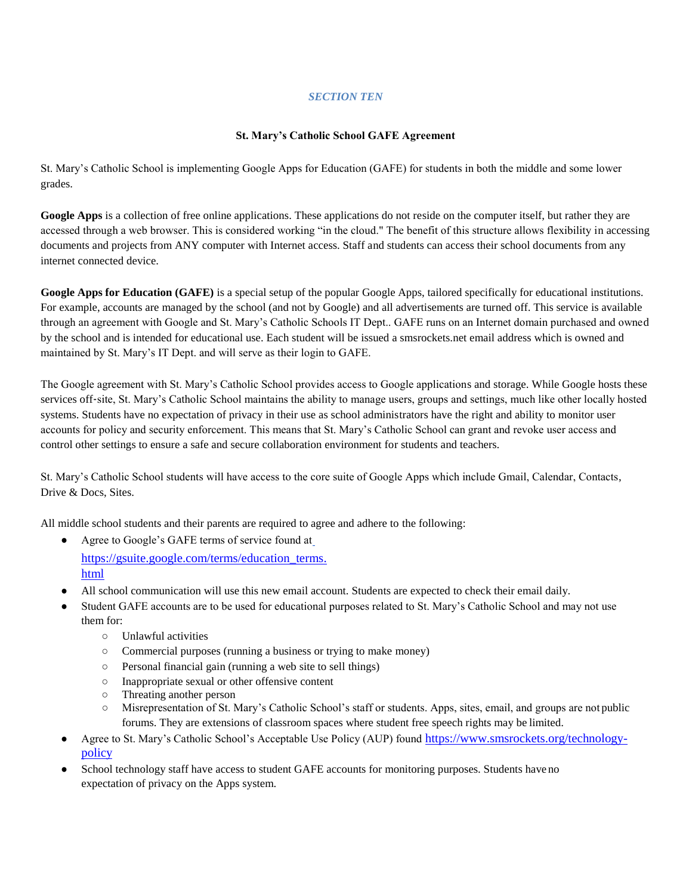# *SECTION TEN*

# **St. Mary's Catholic School GAFE Agreement**

St. Mary's Catholic School is implementing Google Apps for Education (GAFE) for students in both the middle and some lower grades.

**Google Apps** is a collection of free online applications. These applications do not reside on the computer itself, but rather they are accessed through a web browser. This is considered working "in the cloud." The benefit of this structure allows flexibility in accessing documents and projects from ANY computer with Internet access. Staff and students can access their school documents from any internet connected device.

**Google Apps for Education (GAFE)** is a special setup of the popular Google Apps, tailored specifically for educational institutions. For example, accounts are managed by the school (and not by Google) and all advertisements are turned off. This service is available through an agreement with Google and St. Mary's Catholic Schools IT Dept.. GAFE runs on an Internet domain purchased and owned by the school and is intended for educational use. Each student will be issued a smsrockets.net email address which is owned and maintained by St. Mary's IT Dept. and will serve as their login to GAFE.

The Google agreement with St. Mary's Catholic School provides access to Google applications and storage. While Google hosts these services off-site, St. Mary's Catholic School maintains the ability to manage users, groups and settings, much like other locally hosted systems. Students have no expectation of privacy in their use as school administrators have the right and ability to monitor user accounts for policy and security enforcement. This means that St. Mary's Catholic School can grant and revoke user access and control other settings to ensure a safe and secure collaboration environment for students and teachers.

St. Mary's Catholic School students will have access to the core suite of Google Apps which include Gmail, Calendar, Contacts, Drive & Docs, Sites.

All middle school students and their parents are required to agree and adhere to the following:

- Agree [t](http://www.google.com/a/help/intl/en/users/terms.html)o Google's GAFE terms of service found at [https://gsuite.google.com/terms/education\\_terms.](https://gsuite.google.com/terms/education_terms.html) [html](https://gsuite.google.com/terms/education_terms.html)
- All school communication will use this new email account. Students are expected to check their email daily.
- Student GAFE accounts are to be used for educational purposes related to St. Mary's Catholic School and may not use them for:
	- Unlawful activities
	- Commercial purposes (running a business or trying to make money)
	- Personal financial gain (running a web site to sell things)
	- Inappropriate sexual or other offensive content
	- Threating another person
	- Misrepresentation of St. Mary's Catholic School's staff or students. Apps, sites, email, and groups are not public forums. They are extensions of classroom spaces where student free speech rights may be limited.
- Agree to St. Mary's Catholic School's Acceptable Use Policy (AUP) found [https://www.smsrockets.org/technology](https://www.smsrockets.org/technology-policy)[policy](https://www.smsrockets.org/technology-policy)
- School technology staff have access to student GAFE accounts for monitoring purposes. Students have no expectation of privacy on the Apps system.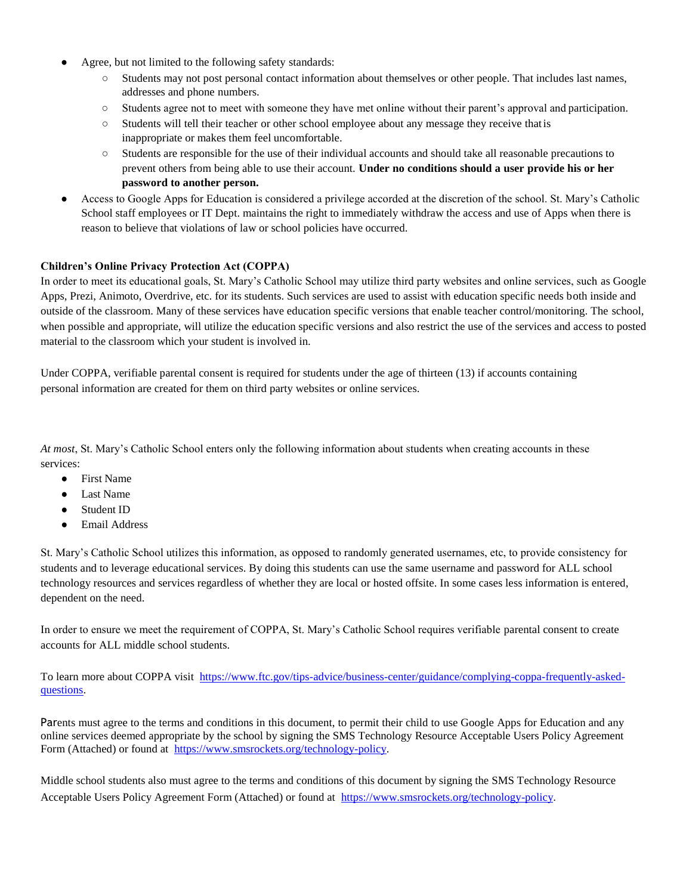- Agree, but not limited to the following safety standards:
	- Students may not post personal contact information about themselves or other people. That includes last names, addresses and phone numbers.
	- Students agree not to meet with someone they have met online without their parent's approval and participation.
	- Students will tell their teacher or other school employee about any message they receive thatis inappropriate or makes them feel uncomfortable.
	- Students are responsible for the use of their individual accounts and should take all reasonable precautions to prevent others from being able to use their account. **Under no conditions should a user provide his or her password to another person.**
- Access to Google Apps for Education is considered a privilege accorded at the discretion of the school. St. Mary's Catholic School staff employees or IT Dept. maintains the right to immediately withdraw the access and use of Apps when there is reason to believe that violations of law or school policies have occurred.

# **Children's Online Privacy Protection Act (COPPA)**

In order to meet its educational goals, St. Mary's Catholic School may utilize third party websites and online services, such as Google Apps, Prezi, Animoto, Overdrive, etc. for its students. Such services are used to assist with education specific needs both inside and outside of the classroom. Many of these services have education specific versions that enable teacher control/monitoring. The school, when possible and appropriate, will utilize the education specific versions and also restrict the use of the services and access to posted material to the classroom which your student is involved in.

Under COPPA, verifiable parental consent is required for students under the age of thirteen (13) if accounts containing personal information are created for them on third party websites or online services.

*At most*, St. Mary's Catholic School enters only the following information about students when creating accounts in these services:

- First Name
- **Last Name**
- Student ID
- **Email Address**

St. Mary's Catholic School utilizes this information, as opposed to randomly generated usernames, etc, to provide consistency for students and to leverage educational services. By doing this students can use the same username and password for ALL school technology resources and services regardless of whether they are local or hosted offsite. In some cases less information is entered, dependent on the need.

In order to ensure we meet the requirement of COPPA, St. Mary's Catholic School requires verifiable parental consent to create accounts for ALL middle school students.

To learn more about COPPA visit [https://www.ftc.gov/tips-advice/business-center/guidance/complying-coppa-frequently-asked](http://www.ftc.gov/privacy/coppafaqs.shtm)[questions.](http://www.ftc.gov/privacy/coppafaqs.shtm)

Parents must agree to the terms and conditions in this document, to permit their child to use Google Apps for Education and any online services deemed appropriate by the school by signing the SMS Technology Resource Acceptable Users Policy Agreement Form (Attached) or found at [https://www.smsrockets.org/technology-policy.](http://www.smsrockets.net/wp/pdf/aup)

Middle school students also must agree to the terms and conditions of this document by signing the SMS Technology Resource Acceptable Users Policy Agreement Form (Attached) or found at [https://www.smsrockets.org/technology-policy.](http://www.smsrockets.net/wp/pdf/aup)